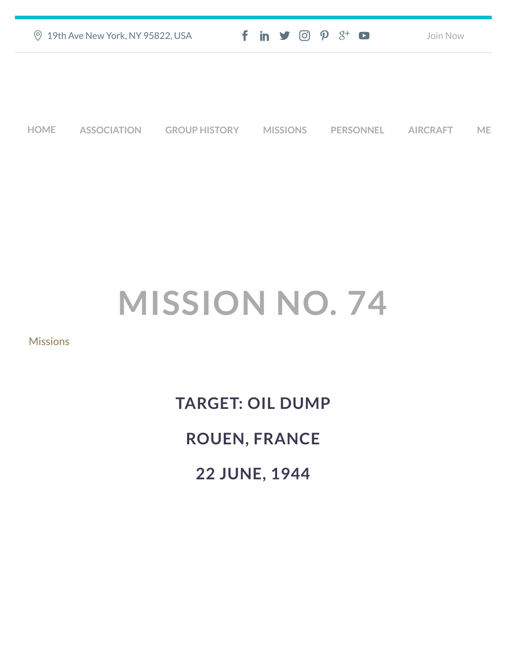| ◎ 19th Ave New York, NY 95822, USA | $f$ in $\blacktriangleright$ $\odot$ $\varphi$ $3^{\scriptscriptstyle +}$ $\Box$ | Join Now |
|------------------------------------|----------------------------------------------------------------------------------|----------|
|                                    |                                                                                  |          |
|                                    |                                                                                  |          |

**[HOME](https://457thbombgroupassoc.org/)** [ASSOCIATION](https://457thbombgroupassoc.org/mission-no-74/#) [GROUP HISTORY](https://457thbombgroupassoc.org/mission-no-74/#) [MISSIONS](https://457thbombgroupassoc.org/mission-no-74/#) [PERSONNEL](https://457thbombgroupassoc.org/mission-no-74/#) [AIRCRAFT](https://457thbombgroupassoc.org/mission-no-74/#) [MED](https://457thbombgroupassoc.org/mission-no-74/#)

## **MISSION NO. 74**

[Missions](https://457thbombgroupassoc.org/category/missions/)

**TARGET: OIL DUMP ROUEN, FRANCE 22 JUNE, 1944**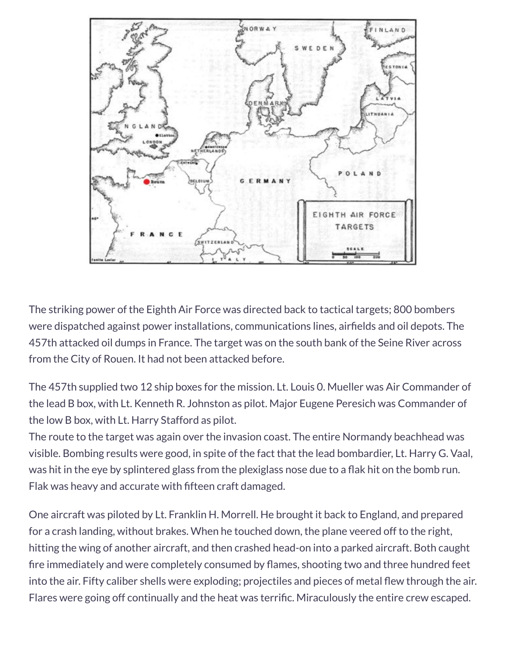

The striking power of the Eighth Air Force was directed back to tactical targets; 800 bombers were dispatched against power installations, communications lines, airfields and oil depots. The 457th attacked oil dumps in France. The target was on the south bank of the Seine River across from the City of Rouen. It had not been attacked before.

The 457th supplied two 12 ship boxes for the mission. Lt. Louis 0. Mueller was Air Commander of the lead B box, with Lt. Kenneth R. Johnston as pilot. Major Eugene Peresich was Commander of the low B box, with Lt. Harry Stafford as pilot.

The route to the target was again over the invasion coast. The entire Normandy beachhead was visible. Bombing results were good, in spite of the fact that the lead bombardier, Lt. Harry G. Vaal, was hit in the eye by splintered glass from the plexiglass nose due to a flak hit on the bomb run. Flak was heavy and accurate with fifteen craft damaged.

One aircraft was piloted by Lt. Franklin H. Morrell. He brought it back to England, and prepared for a crash landing, without brakes. When he touched down, the plane veered off to the right, hitting the wing of another aircraft, and then crashed head-on into a parked aircraft. Both caught fire immediately and were completely consumed by flames, shooting two and three hundred feet into the air. Fifty caliber shells were exploding; projectiles and pieces of metal flew through the air. Flares were going off continually and the heat was terrific. Miraculously the entire crew escaped.